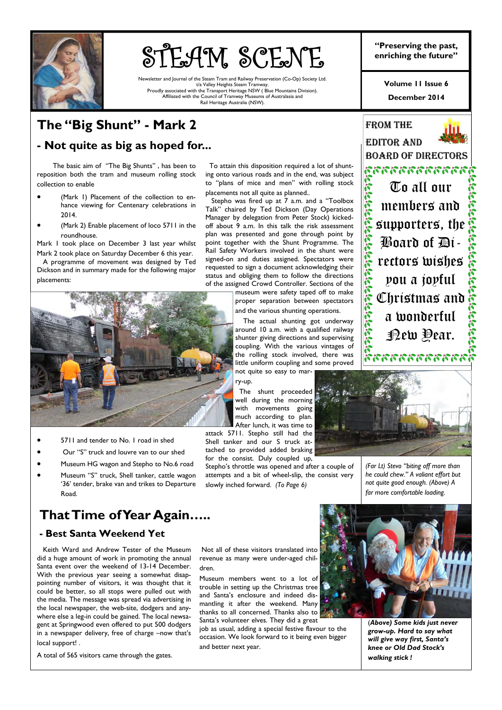

# **STEAM SCENE** <sup>"Preserving the past,"<br>enriching the future"</sup>

Newsletter and Journal of the Steam Tram and Railway Preservation (Co-Op) Society Ltd. t/a Valley Heights Steam Tramway. Proudly associated with the Transport Heritage NSW ( Blue Mountains Division). Affiliated with the Council of Tramway Museums of Australasia and Rail Heritage Australia (NSW).

**"Preserving the past,** 

**December 2014 Volume 11 Issue 6** 

## **The "Big Shunt" - Mark 2**

### **- Not quite as big as hoped for...**

 The basic aim of "The Big Shunts" , has been to reposition both the tram and museum rolling stock collection to enable

- (Mark 1) Placement of the collection to enhance viewing for Centenary celebrations in 2014.
- (Mark 2) Enable placement of loco 5711 in the roundhouse.

Mark 1 took place on December 3 last year whilst Mark 2 took place on Saturday December 6 this year.

 A programme of movement was designed by Ted Dickson and in summary made for the following major placements:



- 5711 and tender to No. 1 road in shed
- Our "S" truck and louvre van to our shed
- Museum HG wagon and Stepho to No.6 road
- Museum "S" truck, Shell tanker, cattle wagon '36' tender, brake van and trikes to Departure Road.

### **That Time of Year Again…..**

### **- Best Santa Weekend Yet**

 Keith Ward and Andrew Tester of the Museum did a huge amount of work in promoting the annual Santa event over the weekend of 13-14 December. With the previous year seeing a somewhat disappointing number of visitors, it was thought that it could be better, so all stops were pulled out with the media. The message was spread via advertising in the local newspaper, the web-site, dodgers and anywhere else a leg-in could be gained. The local newsagent at Springwood even offered to put 500 dodgers in a newspaper delivery, free of charge –now that's local support! .

A total of 565 visitors came through the gates.

 To attain this disposition required a lot of shunting onto various roads and in the end, was subject to "plans of mice and men" with rolling stock placements not all quite as planned..

 Stepho was fired up at 7 a.m. and a "Toolbox Talk" chaired by Ted Dickson (Day Operations Manager by delegation from Peter Stock) kickedoff about 9 a.m. In this talk the risk assessment plan was presented and gone through point by point together with the Shunt Programme. The Rail Safety Workers involved in the shunt were signed-on and duties assigned. Spectators were requested to sign a document acknowledging their status and obliging them to follow the directions of the assigned Crowd Controller. Sections of the

> museum were safety taped off to make proper separation between spectators and the various shunting operations.

> The actual shunting got underway around 10 a.m. with a qualified railway shunter giving directions and supervising coupling. With the various vintages of the rolling stock involved, there was little uniform coupling and some proved not quite so easy to mar-

ry-up.

 The shunt proceeded well during the morning with movements going much according to plan. After lunch, it was time to

attack 5711. Stepho still had the Shell tanker and our S truck attached to provided added braking

attempts and a bit of wheel-slip, the consist very slowly inched forward. *(To Page 6)* 





*(Far Lt) Stevo "biting off more than he could chew." A valiant effort but not quite good enough. (Above) A far more comfortable loading.* 

 Not all of these visitors translated into revenue as many were under-aged children.

Museum members went to a lot of trouble in setting up the Christmas tree and Santa's enclosure and indeed dismantling it after the weekend. Many thanks to all concerned. Thanks also to Santa's volunteer elves. They did a great

job as usual, adding a special festive flavour to the occasion. We look forward to it being even bigger and better next year.



(*Above) Some kids just never grow-up. Hard to say what will give way first, Santa's knee or Old Dad Stock's walking stick !* 

for the consist. Duly coupled up, Stepho's throttle was opened and after a couple of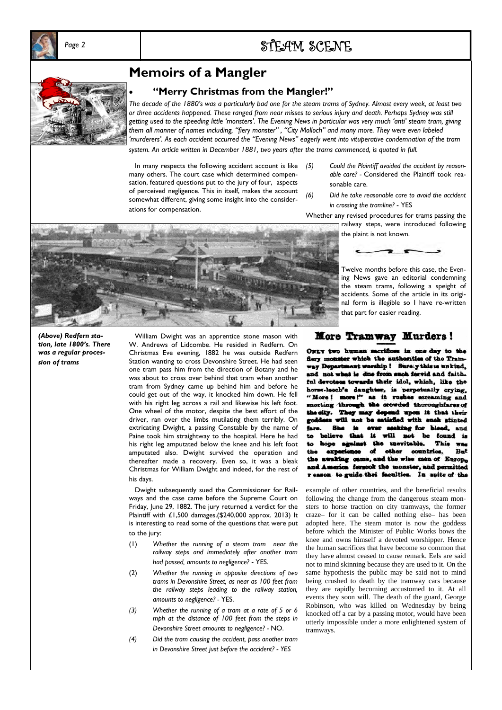

# *Page 2* STEAM SCENE



### **Memoirs of a Mangler**

### • **"Merry Christmas from the Mangler!"**

*The decade of the 1880's was a particularly bad one for the steam trams of Sydney. Almost every week, at least two or three accidents happened. These ranged from near misses to serious injury and death. Perhaps Sydney was still getting used to the speeding little 'monsters'. The Evening News in particular was very much 'anti' steam tram, giving them all manner of names including, "fiery monster" , "City Molloch" and many more. They were even labeled 'murderers'. As each accident occurred the "Evening News" eagerly went into vituperative condemnation of the tram system. An article written in December 1881, two years after the trams commenced, is quoted in full.* 

In many respects the following accident account is like  $(5)$ many others. The court case which determined compensation, featured questions put to the jury of four, aspects of perceived negligence. This in itself, makes the account somewhat different, giving some insight into the considerations for compensation.

- *(5) Could the Plaintiff avoided the accident by reasonable care? -* Considered the Plaintiff took reasonable care.
- *(6) Did he take reasonable care to avoid the accident in crossing the tramline?* - YES

railway steps, were introduced following

Twelve months before this case, the Evening News gave an editorial condemning the steam trams, following a speight of accidents. Some of the article in its original form is illegible so I have re-written

Whether any revised procedures for trams passing the

the plaint is not known.



More Tramway Murders!

that part for easier reading.

erifices in one day to the Owny two hum flery monster which the authorities of the Tramway Department worship ! Surely this is unkind, and not what is due from such fervid and faith. ful devotees towards their idol, which, like the horse-leech's daughter, is perpetually crying, as it rushes screaming and "More! ngh the orowded thoroughfares of morting the city.  $\mathbf{T}$ ay des ad upon it that their be estimad with each stinted ren. mode sking for blood. and  $-111$ found is 11 be This was ٤n maeitabla. th حمطك countries Bat d the wise men of Europa m fersook the monster, and permitted to guide thei faculties. In spite of the

example of other countries, and the beneficial results following the change from the dangerous steam monsters to horse traction on city tramways, the former craze– for it can be called nothing else– has been adopted here. The steam motor is now the goddess before which the Minister of Public Works bows the knee and owns himself a devoted worshipper. Hence the human sacrifices that have become so common that they have almost ceased to cause remark. Eels are said not to mind skinning because they are used to it. On the same hypothesis the public may be said not to mind being crushed to death by the tramway cars because they are rapidly becoming accustomed to it. At all events they soon will. The death of the guard, George Robinson, who was killed on Wednesday by being knocked off a car by a passing motor, would have been utterly impossible under a more enlightened system of tramways.

*(Above) Redfern station, late 1800's. There was a regular procession of trams*

 William Dwight was an apprentice stone mason with W. Andrews of Lidcombe. He resided in Redfern. On Christmas Eve evening, 1882 he was outside Redfern Station wanting to cross Devonshire Street. He had seen one tram pass him from the direction of Botany and he was about to cross over behind that tram when another tram from Sydney came up behind him and before he could get out of the way, it knocked him down. He fell with his right leg across a rail and likewise his left foot. One wheel of the motor, despite the best effort of the driver, ran over the limbs mutilating them terribly. On extricating Dwight, a passing Constable by the name of Paine took him straightway to the hospital. Here he had his right leg amputated below the knee and his left foot amputated also. Dwight survived the operation and thereafter made a recovery. Even so, it was a bleak Christmas for William Dwight and indeed, for the rest of his days.

 Dwight subsequently sued the Commissioner for Railways and the case came before the Supreme Court on Friday, June 29, 1882. The jury returned a verdict for the Plaintiff with £1,500 damages.(\$240,000 approx. 2013) It is interesting to read some of the questions that were put to the jury:

- (1) *Whether the running of a steam tram near the railway steps and immediately after another tram had passed, amounts to negligence?* - YES.
- (2) *Whether the running in opposite directions of two trams in Devonshire Street, as near as 100 feet from the railway steps leading to the railway station, amounts to negligence? -* YES.
- *(3) Whether the running of a tram at a rate of 5 or 6 mph at the distance of 100 feet from the steps in Devonshire Street amounts to negligence? -* NO.
- *(4) Did the tram causing the accident, pass another tram in Devonshire Street just before the accident? - YES*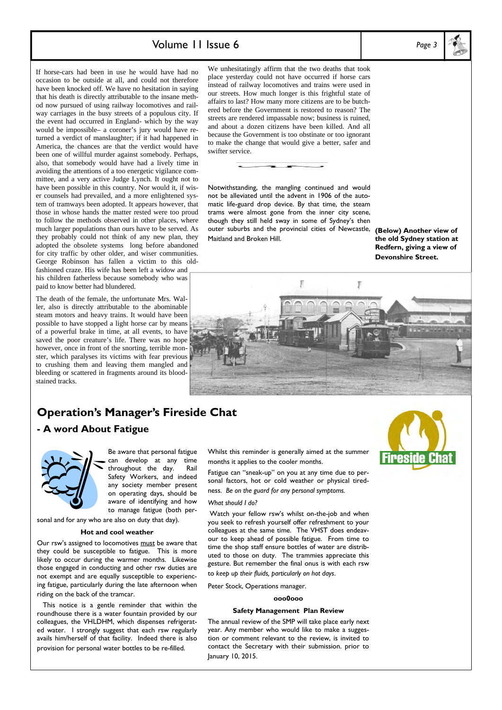### Volume 11 Issue 6 *Page 3*

If horse-cars had been in use he would have had no occasion to be outside at all, and could not therefore have been knocked off. We have no hesitation in saying that his death is directly attributable to the insane method now pursued of using railway locomotives and railway carriages in the busy streets of a populous city. If the event had occurred in England- which by the way would be impossible– a coroner's jury would have returned a verdict of manslaughter; if it had happened in America, the chances are that the verdict would have been one of willful murder against somebody. Perhaps, also, that somebody would have had a lively time in avoiding the attentions of a too energetic vigilance committee, and a very active Judge Lynch. It ought not to have been possible in this country. Nor would it, if wiser counsels had prevailed, and a more enlightened system of tramways been adopted. It appears however, that those in whose hands the matter rested were too proud to follow the methods observed in other places, where much larger populations than ours have to be served. As they probably could not think of any new plan, they adopted the obsolete systems long before abandoned for city traffic by other older, and wiser communities. George Robinson has fallen a victim to this oldfashioned craze. His wife has been left a widow and his children fatherless because somebody who was paid to know better had blundered.

The death of the female, the unfortunate Mrs. Waller, also is directly attributable to the abominable steam motors and heavy trains. It would have been possible to have stopped a light horse car by means of a powerful brake in time, at all events, to have saved the poor creature's life. There was no hope however, once in front of the snorting, terrible monster, which paralyses its victims with fear previous to crushing them and leaving them mangled and bleeding or scattered in fragments around its bloodstained tracks.

#### We unhesitatingly affirm that the two deaths that took place yesterday could not have occurred if horse cars instead of railway locomotives and trains were used in our streets. How much longer is this frightful state of affairs to last? How many more citizens are to be butchered before the Government is restored to reason? The streets are rendered impassable now; business is ruined, and about a dozen citizens have been killed. And all because the Government is too obstinate or too ignorant to make the change that would give a better, safer and swifter service.

Notwithstanding, the mangling continued and would not be alleviated until the advent in 1906 of the automatic life-guard drop device. By that time, the steam trams were almost gone from the inner city scene, though they still held sway in some of Sydney's then outer suburbs and the provincial cities of Newcastle, **(Below) Another view of**  Maitland and Broken Hill.

**the old Sydney station at Redfern, giving a view of Devonshire Street.** 



### **Operation's Manager's Fireside Chat**

### **- A word About Fatigue**



Be aware that personal fatigue can develop at any time throughout the day. Rail Safety Workers, and indeed any society member present on operating days, should be aware of identifying and how to manage fatigue (both per-

sonal and for any who are also on duty that day).

#### **Hot and cool weather**

Our rsw's assigned to locomotives must be aware that they could be susceptible to fatigue. This is more likely to occur during the warmer months. Likewise those engaged in conducting and other rsw duties are not exempt and are equally susceptible to experiencing fatigue, particularly during the late afternoon when riding on the back of the tramcar.

 This notice is a gentle reminder that within the roundhouse there is a water fountain provided by our colleagues, the VHLDHM, which dispenses refrigerated water. I strongly suggest that each rsw regularly avails him/herself of that facility. Indeed there is also provision for personal water bottles to be re-filled.

Whilst this reminder is generally aimed at the summer months it applies to the cooler months.

Fatigue can "sneak-up" on you at any time due to personal factors, hot or cold weather or physical tiredness. *Be on the guard for any personal symptoms.* 

#### *What should I do?*

 Watch your fellow rsw's whilst on-the-job and when you seek to refresh yourself offer refreshment to your colleagues at the same time. The VHST does endeavour to keep ahead of possible fatigue. From time to time the shop staff ensure bottles of water are distributed to those on duty. The trammies appreciate this gesture. But remember the final onus is with each rsw to *keep up their fluids, particularly on hot days*.

Peter Stock, Operations manager.

#### **ooo0ooo**

#### **Safety Management Plan Review**

The annual review of the SMP will take place early next year. Any member who would like to make a suggestion or comment relevant to the review, is invited to contact the Secretary with their submission. prior to January 10, 2015.

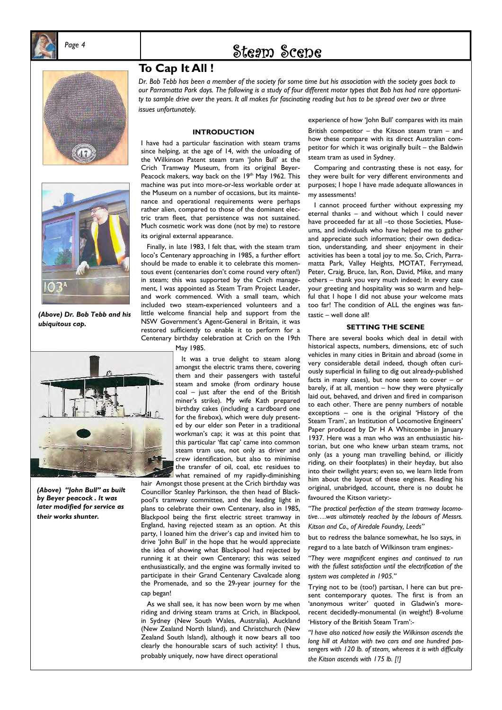

# *Page 4* Steam Scene





*(Above) Dr. Bob Tebb and his ubiquitous cap.* 



*(Above) "John Bull" as built by Beyer peacock . It was later modified for service as their works shunter.* 

### **To Cap It All !**

*Dr. Bob Tebb has been a member of the society for some time but his association with the society goes back to our Parramatta Park days. The following is a study of four different motor types that Bob has had rare opportunity to sample drive over the years. It all makes for fascinating reading but has to be spread over two or three issues unfortunately.* 

#### **INTRODUCTION**

I have had a particular fascination with steam trams since helping, at the age of 14, with the unloading of the Wilkinson Patent steam tram 'John Bull' at the Crich Tramway Museum, from its original Beyer-Peacock makers, way back on the 19th May 1962. This machine was put into more-or-less workable order at the Museum on a number of occasions, but its maintenance and operational requirements were perhaps rather alien, compared to those of the dominant electric tram fleet, that persistence was not sustained. Much cosmetic work was done (not by me) to restore its original external appearance.

 Finally, in late 1983, I felt that, with the steam tram loco's Centenary approaching in 1985, a further effort should be made to enable it to celebrate this momentous event (centenaries don't come round very often!) in steam; this was supported by the Crich management, I was appointed as Steam Tram Project Leader, and work commenced. With a small team, which included two steam-experienced volunteers and a little welcome financial help and support from the NSW Government's Agent-General in Britain, it was restored sufficiently to enable it to perform for a Centenary birthday celebration at Crich on the 19th

May 1985.

 It was a true delight to steam along amongst the electric trams there, covering them and their passengers with tasteful steam and smoke (from ordinary house coal – just after the end of the British miner's strike). My wife Kath prepared birthday cakes (including a cardboard one for the firebox), which were duly presented by our elder son Peter in a traditional workman's cap; it was at this point that this particular 'flat cap' came into common steam tram use, not only as driver and crew identification, but also to minimise the transfer of oil, coal, etc residues to what remained of my rapidly-diminishing

hair Amongst those present at the Crich birthday was Councillor Stanley Parkinson, the then head of Blackpool's tramway committee, and the leading light in plans to celebrate their own Centenary, also in 1985, Blackpool being the first electric street tramway in England, having rejected steam as an option. At this party, I loaned him the driver's cap and invited him to drive 'John Bull' in the hope that he would appreciate the idea of showing what Blackpool had rejected by running it at their own Centenary; this was seized enthusiastically, and the engine was formally invited to participate in their Grand Centenary Cavalcade along the Promenade, and so the 29-year journey for the cap began!

 As we shall see, it has now been worn by me when riding and driving steam trams at Crich, in Blackpool, in Sydney (New South Wales, Australia), Auckland (New Zealand North Island), and Christchurch (New Zealand South Island), although it now bears all too clearly the honourable scars of such activity! I thus, probably uniquely, now have direct operational

experience of how 'John Bull' compares with its main

British competitor – the Kitson steam tram – and how these compare with its direct Australian competitor for which it was originally built – the Baldwin steam tram as used in Sydney.

 Comparing and contrasting these is not easy, for they were built for very different environments and purposes; I hope I have made adequate allowances in my assessments!

 I cannot proceed further without expressing my eternal thanks – and without which I could never have proceeded far at all -to those Societies, Museums, and individuals who have helped me to gather and appreciate such information; their own dedication, understanding, and sheer enjoyment in their activities has been a total joy to me. So, Crich, Parramatta Park, Valley Heights, MOTAT, Ferrymead, Peter, Craig, Bruce, Ian, Ron, David, Mike, and many others – thank you very much indeed; In every case your greeting and hospitality was so warm and helpful that I hope I did not abuse your welcome mats too far! The condition of ALL the engines was fantastic – well done all!

#### **SETTING THE SCENE**

There are several books which deal in detail with historical aspects, numbers, dimensions, etc of such vehicles in many cities in Britain and abroad (some in very considerable detail indeed, though often curiously superficial in failing to dig out already-published facts in many cases), but none seem to cover – or barely, if at all, mention – how they were physically laid out, behaved, and driven and fired in comparison to each other. There are penny numbers of notable exceptions – one is the original 'History of the Steam Tram', an Institution of Locomotive Engineers' Paper produced by Dr H A Whitcombe in January 1937. Here was a man who was an enthusiastic historian, but one who knew urban steam trams, not only (as a young man travelling behind, or illicitly riding, on their footplates) in their heyday, but also into their twilight years; even so, we learn little from him about the layout of these engines. Reading his original, unabridged, account, there is no doubt he favoured the Kitson variety:-

*"The practical perfection of the steam tramway locomotive….was ultimately reached by the labours of Messrs. Kitson and Co., of Airedale Foundry, Leeds"* 

but to redress the balance somewhat, he lso says, in regard to a late batch of Wilkinson tram engines:-

*"They were magnificent engines and continued to run with the fullest satisfaction until the electrification of the system was completed in 1905."* 

Trying not to be (too!) partisan, I here can but present contemporary quotes. The first is from an 'anonymous writer' quoted in Gladwin's morerecent decidedly-monumental (in weight!) 8-volume 'History of the British Steam Tram':-

*"I have also noticed how easily the Wilkinson ascends the long hill at Ashton with two cars and one hundred passengers with 120 lb. of steam, whereas it is with difficulty the Kitson ascends with 175 lb. [!]*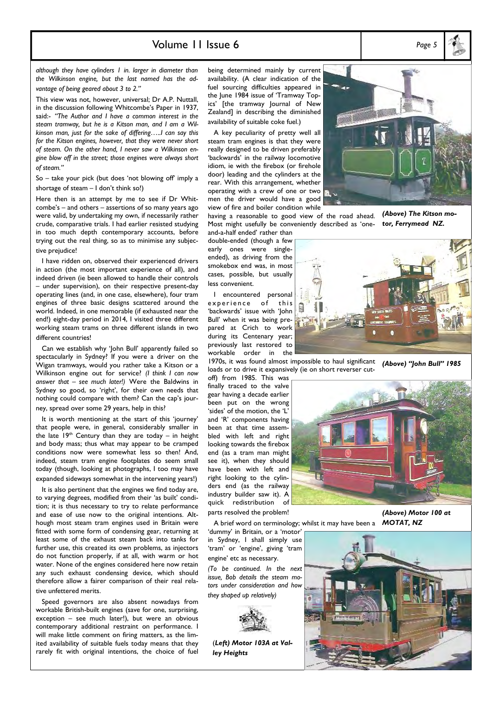### Volume 11 Issue 6 *Page 5*

*although they have cylinders 1 in. larger in diameter than the Wilkinson engine, but the last named has the advantage of being geared about 3 to 2."* 

This view was not, however, universal; Dr A.P. Nuttall, in the discussion following Whitcombe's Paper in 1937, said:- *"The Author and I have a common interest in the steam tramway, but he is a Kitson man, and I am a Wilkinson man, just for the sake of differing…..I can say this for the Kitson engines, however, that they were never short of steam. On the other hand, I never saw a Wilkinson engine blow off in the street; those engines were always short of steam."* 

So – take your pick (but does 'not blowing off' imply a shortage of steam – I don't think so!)

Here then is an attempt by me to see if Dr Whitcombe's – and others – assertions of so many years ago were valid, by undertaking my own, if necessarily rather crude, comparative trials. I had earlier resisted studying in too much depth contemporary accounts, before trying out the real thing, so as to minimise any subjective prejudice!

 I have ridden on, observed their experienced drivers in action (the most important experience of all), and indeed driven (ie been allowed to handle their controls – under supervision), on their respective present-day operating lines (and, in one case, elsewhere), four tram engines of three basic designs scattered around the world. Indeed, in one memorable (if exhausted near the end!) eight-day period in 2014, I visited three different working steam trams on three different islands in two different countries!

 Can we establish why 'John Bull' apparently failed so spectacularly in Sydney? If you were a driver on the Wigan tramways, would you rather take a Kitson or a Wilkinson engine out for service? *(I think I can now answer that – see much later!)* Were the Baldwins in Sydney so good, so 'right', for their own needs that nothing could compare with them? Can the cap's journey, spread over some 29 years, help in this?

 It is worth mentioning at the start of this 'journey' that people were, in general, considerably smaller in the late  $19<sup>th</sup>$  Century than they are today – in height and body mass; thus what may appear to be cramped conditions now were somewhat less so then! And, indeed, steam tram engine footplates do seem small today (though, looking at photographs, I too may have expanded sideways somewhat in the intervening years!)

 It is also pertinent that the engines we find today are, to varying degrees, modified from their 'as built' condition; it is thus necessary to try to relate performance and ease of use now to the original intentions. Although most steam tram engines used in Britain were fitted with some form of condensing gear, returning at least some of the exhaust steam back into tanks for further use, this created its own problems, as injectors do not function properly, if at all, with warm or hot water. None of the engines considered here now retain any such exhaust condensing device, which should therefore allow a fairer comparison of their real relative unfettered merits.

 Speed governors are also absent nowadays from workable British-built engines (save for one, surprising, exception – see much later!), but were an obvious contemporary additional restraint on performance. I will make little comment on firing matters, as the limited availability of suitable fuels today means that they rarely fit with original intentions, the choice of fuel being determined mainly by current availability. (A clear indication of the fuel sourcing difficulties appeared in the June 1984 issue of 'Tramway Topics' [the tramway Journal of New Zealand] in describing the diminished availability of suitable coke fuel.)

 A key peculiarity of pretty well all steam tram engines is that they were really designed to be driven preferably 'backwards' in the railway locomotive idiom, ie with the firebox (or firehole door) leading and the cylinders at the rear. With this arrangement, whether operating with a crew of one or two men the driver would have a good view of fire and boiler condition while having a reasonable to good view of the road ahead.

Most might usefully be conveniently described as 'one-

囿

*(Above) The Kitson motor, Ferrymead NZ.* 

and-a-half ended' rather than double-ended (though a few early ones were singleended), as driving from the smokebox end was, in most cases, possible, but usually less convenient.

 I encountered personal experience of this 'backwards' issue with 'John Bull' when it was being prepared at Crich to work during its Centenary year; previously last restored to workable order in the

1970s, it was found almost impossible to haul significant loads or to drive it expansively (ie on short reverser cut-*(Above) "John Bull" 1985* 

off) from 1985. This was finally traced to the valve gear having a decade earlier been put on the wrong 'sides' of the motion, the 'L' and 'R' components having been at that time assembled with left and right looking towards the firebox end (as a tram man might see it), when they should have been with left and right looking to the cylinders end (as the railway industry builder saw it). A quick redistribution of parts resolved the problem!

A brief word on terminology; whilst it may have been a

'dummy' in Britain, or a 'motor' in Sydney, I shall simply use 'tram' or 'engine', giving 'tram engine' etc as necessary.

*(To be continued. In the next issue, Bob details the steam motors under consideration and how they shaped up relatively)* 



*ley Heights* 

*(Above) Motor 100 at MOTAT, NZ*